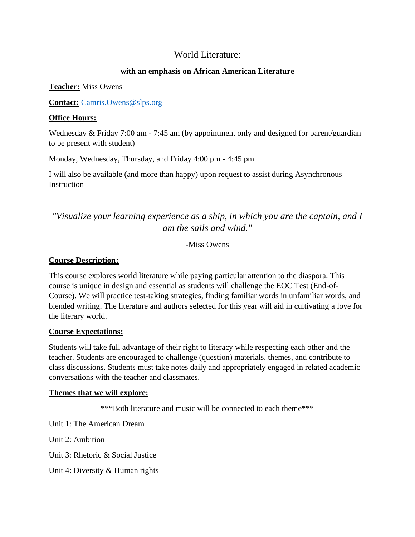# World Literature:

## **with an emphasis on African American Literature**

#### **Teacher:** Miss Owens

**Contact:** [Camris.Owens@slps.org](mailto:Camris.Owens@slps.org)

#### **Office Hours:**

Wednesday & Friday 7:00 am - 7:45 am (by appointment only and designed for parent/guardian to be present with student)

Monday, Wednesday, Thursday, and Friday 4:00 pm - 4:45 pm

I will also be available (and more than happy) upon request to assist during Asynchronous **Instruction** 

# *"Visualize your learning experience as a ship, in which you are the captain, and I am the sails and wind."*

-Miss Owens

# **Course Description:**

This course explores world literature while paying particular attention to the diaspora. This course is unique in design and essential as students will challenge the EOC Test (End-of-Course). We will practice test-taking strategies, finding familiar words in unfamiliar words, and blended writing. The literature and authors selected for this year will aid in cultivating a love for the literary world.

#### **Course Expectations:**

Students will take full advantage of their right to literacy while respecting each other and the teacher. Students are encouraged to challenge (question) materials, themes, and contribute to class discussions. Students must take notes daily and appropriately engaged in related academic conversations with the teacher and classmates.

#### **Themes that we will explore:**

\*\*\*Both literature and music will be connected to each theme\*\*\*

Unit 1: The American Dream

Unit 2: Ambition

Unit 3: Rhetoric & Social Justice

Unit 4: Diversity & Human rights